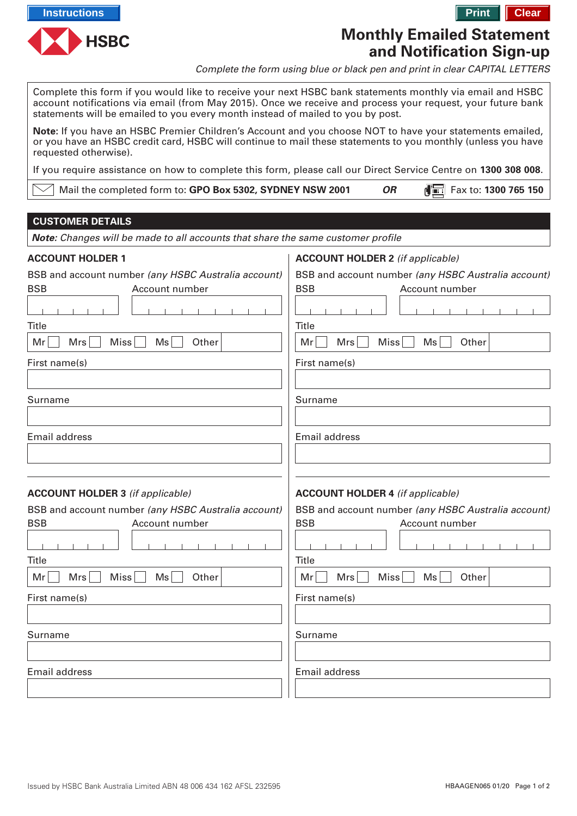



# **Monthly Emailed Statement and Notification Sign-up**

Complete the form using blue or black pen and print in clear CAPITAL LETTERS

Complete this form if you would like to receive your next HSBC bank statements monthly via email and HSBC account notifications via email (from May 2015). Once we receive and process your request, your future bank statements will be emailed to you every month instead of mailed to you by post.

**Note:** If you have an HSBC Premier Children's Account and you choose NOT to have your statements emailed, or you have an HSBC credit card, HSBC will continue to mail these statements to you monthly (unless you have requested otherwise).

If you require assistance on how to complete this form, please call our Direct Service Centre on **1300 308 008**.

| $\vee\hspace{-.15cm}\mid$ Mail the completed form to: <b>GPO Box 5302, SYDNEY NSW 2001</b> | <b>OR</b> | $\sqrt{2}$ Fax to: 1300 765 150 |
|--------------------------------------------------------------------------------------------|-----------|---------------------------------|
|--------------------------------------------------------------------------------------------|-----------|---------------------------------|

## **CUSTOMER DETAILS**

**Note:** Changes will be made to all accounts that share the same customer profile

# **ACCOUNT HOLDER 1 ACCOUNT HOLDER 2** (if applicable) BSB and account number (any HSBC Australia account) BSB and account number (any HSBC Australia account) BSB Account number BSB **Account number**  $\mathbf{L}$  $\mathbf{L}$ **Title Title** Mr | Mrs | Miss | Ms | Other  $Mr$  Mrs Miss Ms Other First name(s) First name(s) Surname Surname Email address Email address **ACCOUNT HOLDER 3** (if applicable) **ACCOUNT HOLDER 4** (if applicable) BSB and account number (any HSBC Australia account) BSB and account number (any HSBC Australia account) BSB Account number BSB Account number Title Title  $Mr \nightharpoonup$  Mrs  $\Box$  Miss  $\Box$  Ms  $\Box$  Other  $Mr \t Mrs \t Miss \t Mss$  Ms  $\td$  Other First name(s) First name(s) Surname Surname Email address Email address